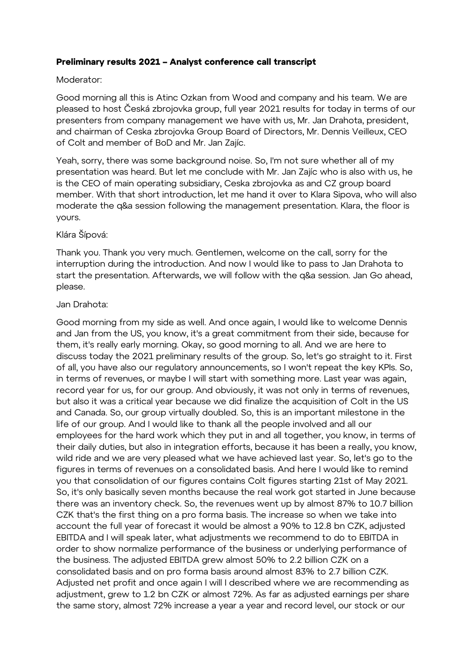# **Preliminary results 2021 – Analyst conference call transcript**

## Moderator:

Good morning all this is Atinc Ozkan from Wood and company and his team. We are pleased to host Česká zbrojovka group, full year 2021 results for today in terms of our presenters from company management we have with us, Mr. Jan Drahota, president, and chairman of Ceska zbrojovka Group Board of Directors, Mr. Dennis Veilleux, CEO of Colt and member of BoD and Mr. Jan Zajíc.

Yeah, sorry, there was some background noise. So, I'm not sure whether all of my presentation was heard. But let me conclude with Mr. Jan Zajíc who is also with us, he is the CEO of main operating subsidiary, Ceska zbrojovka as and CZ group board member. With that short introduction, let me hand it over to Klara Sipova, who will also moderate the q&a session following the management presentation. Klara, the floor is yours.

# Klára Šípová:

Thank you. Thank you very much. Gentlemen, welcome on the call, sorry for the interruption during the introduction. And now I would like to pass to Jan Drahota to start the presentation. Afterwards, we will follow with the q&a session. Jan Go ahead, please.

#### Jan Drahota:

Good morning from my side as well. And once again, I would like to welcome Dennis and Jan from the US, you know, it's a great commitment from their side, because for them, it's really early morning. Okay, so good morning to all. And we are here to discuss today the 2021 preliminary results of the group. So, let's go straight to it. First of all, you have also our regulatory announcements, so I won't repeat the key KPIs. So, in terms of revenues, or maybe I will start with something more. Last year was again, record year for us, for our group. And obviously, it was not only in terms of revenues, but also it was a critical year because we did finalize the acquisition of Colt in the US and Canada. So, our group virtually doubled. So, this is an important milestone in the life of our group. And I would like to thank all the people involved and all our employees for the hard work which they put in and all together, you know, in terms of their daily duties, but also in integration efforts, because it has been a really, you know, wild ride and we are very pleased what we have achieved last year. So, let's go to the figures in terms of revenues on a consolidated basis. And here I would like to remind you that consolidation of our figures contains Colt figures starting 21st of May 2021. So, it's only basically seven months because the real work got started in June because there was an inventory check. So, the revenues went up by almost 87% to 10.7 billion CZK that's the first thing on a pro forma basis. The increase so when we take into account the full year of forecast it would be almost a 90% to 12.8 bn CZK, adjusted EBITDA and I will speak later, what adjustments we recommend to do to EBITDA in order to show normalize performance of the business or underlying performance of the business. The adjusted EBITDA grew almost 50% to 2.2 billion CZK on a consolidated basis and on pro forma basis around almost 83% to 2.7 billion CZK. Adjusted net profit and once again I will I described where we are recommending as adjustment, grew to 1.2 bn CZK or almost 72%. As far as adjusted earnings per share the same story, almost 72% increase a year a year and record level, our stock or our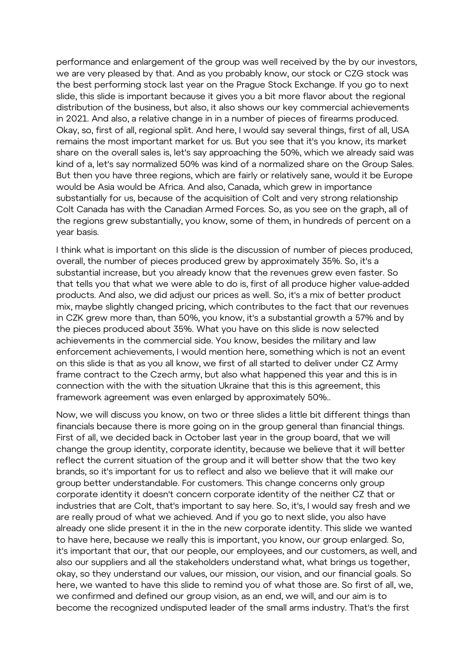performance and enlargement of the group was well received by the by our investors, we are very pleased by that. And as you probably know, our stock or CZG stock was the best performing stock last year on the Prague Stock Exchange. If you go to next slide, this slide is important because it gives you a bit more flavor about the regional distribution of the business, but also, it also shows our key commercial achievements in 2021. And also, a relative change in in a number of pieces of firearms produced. Okay, so, first of all, regional split. And here, I would say several things, first of all, USA remains the most important market for us. But you see that it's you know, its market share on the overall sales is, let's say approaching the 50%, which we already said was kind of a, let's say normalized 50% was kind of a normalized share on the Group Sales. But then you have three regions, which are fairly or relatively sane, would it be Europe would be Asia would be Africa. And also, Canada, which grew in importance substantially for us, because of the acquisition of Colt and very strong relationship Colt Canada has with the Canadian Armed Forces. So, as you see on the graph, all of the regions grew substantially, you know, some of them, in hundreds of percent on a year basis.

I think what is important on this slide is the discussion of number of pieces produced, overall, the number of pieces produced grew by approximately 35%. So, it's a substantial increase, but you already know that the revenues grew even faster. So that tells you that what we were able to do is, first of all produce higher value-added products. And also, we did adjust our prices as well. So, it's a mix of better product mix, maybe slightly changed pricing, which contributes to the fact that our revenues in CZK grew more than, than 50%, you know, it's a substantial growth a 57% and by the pieces produced about 35%. What you have on this slide is now selected achievements in the commercial side. You know, besides the military and law enforcement achievements, I would mention here, something which is not an event on this slide is that as you all know, we first of all started to deliver under CZ Army frame contract to the Czech army, but also what happened this year and this is in connection with the with the situation Ukraine that this is this agreement, this framework agreement was even enlarged by approximately 50%..

Now, we will discuss you know, on two or three slides a little bit different things than financials because there is more going on in the group general than financial things. First of all, we decided back in October last year in the group board, that we will change the group identity, corporate identity, because we believe that it will better reflect the current situation of the group and it will better show that the two key brands, so it's important for us to reflect and also we believe that it will make our group better understandable. For customers. This change concerns only group corporate identity it doesn't concern corporate identity of the neither CZ that or industries that are Colt, that's important to say here. So, it's, I would say fresh and we are really proud of what we achieved. And if you go to next slide, you also have already one slide present it in the in the new corporate identity. This slide we wanted to have here, because we really this is important, you know, our group enlarged. So, it's important that our, that our people, our employees, and our customers, as well, and also our suppliers and all the stakeholders understand what, what brings us together, okay, so they understand our values, our mission, our vision, and our financial goals. So here, we wanted to have this slide to remind you of what those are. So first of all, we, we confirmed and defined our group vision, as an end, we will, and our aim is to become the recognized undisputed leader of the small arms industry. That's the first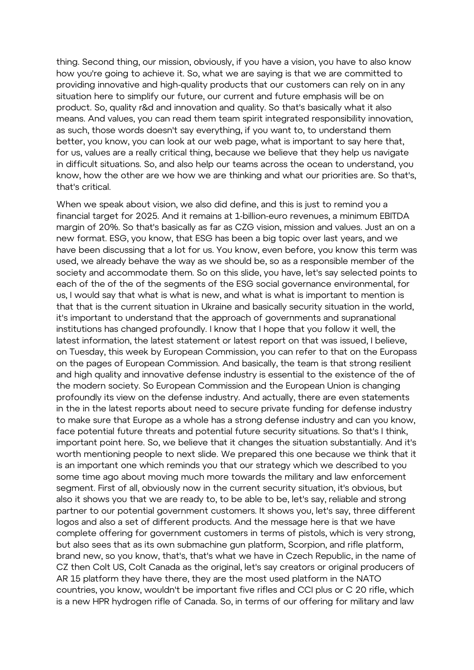thing. Second thing, our mission, obviously, if you have a vision, you have to also know how you're going to achieve it. So, what we are saying is that we are committed to providing innovative and high-quality products that our customers can rely on in any situation here to simplify our future, our current and future emphasis will be on product. So, quality r&d and innovation and quality. So that's basically what it also means. And values, you can read them team spirit integrated responsibility innovation, as such, those words doesn't say everything, if you want to, to understand them better, you know, you can look at our web page, what is important to say here that, for us, values are a really critical thing, because we believe that they help us navigate in difficult situations. So, and also help our teams across the ocean to understand, you know, how the other are we how we are thinking and what our priorities are. So that's, that's critical.

When we speak about vision, we also did define, and this is just to remind you a financial target for 2025. And it remains at 1-billion-euro revenues, a minimum EBITDA margin of 20%. So that's basically as far as CZG vision, mission and values. Just an on a new format. ESG, you know, that ESG has been a big topic over last years, and we have been discussing that a lot for us. You know, even before, you know this term was used, we already behave the way as we should be, so as a responsible member of the society and accommodate them. So on this slide, you have, let's say selected points to each of the of the of the segments of the ESG social governance environmental, for us, I would say that what is what is new, and what is what is important to mention is that that is the current situation in Ukraine and basically security situation in the world, it's important to understand that the approach of governments and supranational institutions has changed profoundly. I know that I hope that you follow it well, the latest information, the latest statement or latest report on that was issued, I believe, on Tuesday, this week by European Commission, you can refer to that on the Europass on the pages of European Commission. And basically, the team is that strong resilient and high quality and innovative defense industry is essential to the existence of the of the modern society. So European Commission and the European Union is changing profoundly its view on the defense industry. And actually, there are even statements in the in the latest reports about need to secure private funding for defense industry to make sure that Europe as a whole has a strong defense industry and can you know, face potential future threats and potential future security situations. So that's I think, important point here. So, we believe that it changes the situation substantially. And it's worth mentioning people to next slide. We prepared this one because we think that it is an important one which reminds you that our strategy which we described to you some time ago about moving much more towards the military and law enforcement segment. First of all, obviously now in the current security situation, it's obvious, but also it shows you that we are ready to, to be able to be, let's say, reliable and strong partner to our potential government customers. It shows you, let's say, three different logos and also a set of different products. And the message here is that we have complete offering for government customers in terms of pistols, which is very strong, but also sees that as its own submachine gun platform, Scorpion, and rifle platform, brand new, so you know, that's, that's what we have in Czech Republic, in the name of CZ then Colt US, Colt Canada as the original, let's say creators or original producers of AR 15 platform they have there, they are the most used platform in the NATO countries, you know, wouldn't be important five rifles and CCI plus or C 20 rifle, which is a new HPR hydrogen rifle of Canada. So, in terms of our offering for military and law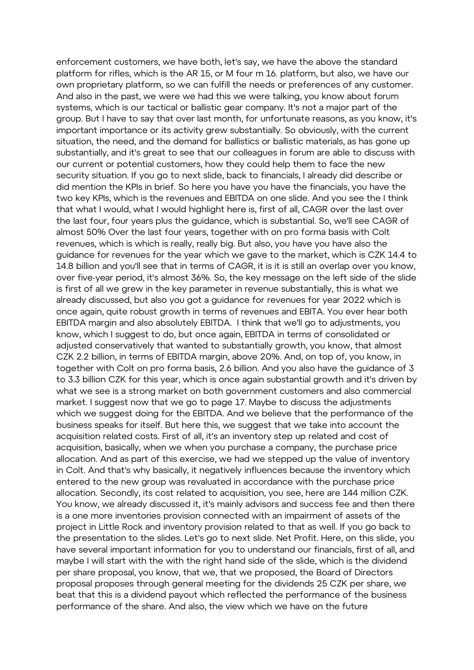enforcement customers, we have both, let's say, we have the above the standard platform for rifles, which is the AR 15, or M four m 16. platform, but also, we have our own proprietary platform, so we can fulfill the needs or preferences of any customer. And also in the past, we were we had this we were talking, you know about forum systems, which is our tactical or ballistic gear company. It's not a major part of the group. But I have to say that over last month, for unfortunate reasons, as you know, it's important importance or its activity grew substantially. So obviously, with the current situation, the need, and the demand for ballistics or ballistic materials, as has gone up substantially, and it's great to see that our colleagues in forum are able to discuss with our current or potential customers, how they could help them to face the new security situation. If you go to next slide, back to financials, I already did describe or did mention the KPIs in brief. So here you have you have the financials, you have the two key KPIs, which is the revenues and EBITDA on one slide. And you see the I think that what I would, what I would highlight here is, first of all, CAGR over the last over the last four, four years plus the guidance, which is substantial. So, we'll see CAGR of almost 50% Over the last four years, together with on pro forma basis with Colt revenues, which is which is really, really big. But also, you have you have also the guidance for revenues for the year which we gave to the market, which is CZK 14.4 to 14.8 billion and you'll see that in terms of CAGR, it is it is still an overlap over you know, over five-year period, it's almost 36%. So, the key message on the left side of the slide is first of all we grew in the key parameter in revenue substantially, this is what we already discussed, but also you got a guidance for revenues for year 2022 which is once again, quite robust growth in terms of revenues and EBITA. You ever hear both EBITDA margin and also absolutely EBITDA. I think that we'll go to adjustments, you know, which I suggest to do, but once again, EBITDA in terms of consolidated or adjusted conservatively that wanted to substantially growth, you know, that almost CZK 2.2 billion, in terms of EBITDA margin, above 20%. And, on top of, you know, in together with Colt on pro forma basis, 2.6 billion. And you also have the guidance of 3 to 3.3 billion CZK for this year, which is once again substantial growth and it's driven by what we see is a strong market on both government customers and also commercial market. I suggest now that we go to page 17. Maybe to discuss the adjustments which we suggest doing for the EBITDA. And we believe that the performance of the business speaks for itself. But here this, we suggest that we take into account the acquisition related costs. First of all, it's an inventory step up related and cost of acquisition, basically, when we when you purchase a company, the purchase price allocation. And as part of this exercise, we had we stepped up the value of inventory in Colt. And that's why basically, it negatively influences because the inventory which entered to the new group was revaluated in accordance with the purchase price allocation. Secondly, its cost related to acquisition, you see, here are 144 million CZK. You know, we already discussed it, it's mainly advisors and success fee and then there is a one more inventories provision connected with an impairment of assets of the project in Little Rock and inventory provision related to that as well. If you go back to the presentation to the slides. Let's go to next slide. Net Profit. Here, on this slide, you have several important information for you to understand our financials, first of all, and maybe I will start with the with the right hand side of the slide, which is the dividend per share proposal, you know, that we, that we proposed, the Board of Directors proposal proposes through general meeting for the dividends 25 CZK per share, we beat that this is a dividend payout which reflected the performance of the business performance of the share. And also, the view which we have on the future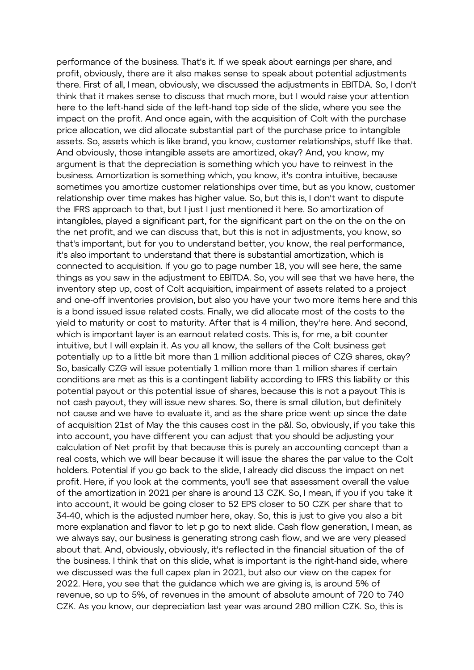performance of the business. That's it. If we speak about earnings per share, and profit, obviously, there are it also makes sense to speak about potential adjustments there. First of all, I mean, obviously, we discussed the adjustments in EBITDA. So, I don't think that it makes sense to discuss that much more, but I would raise your attention here to the left-hand side of the left-hand top side of the slide, where you see the impact on the profit. And once again, with the acquisition of Colt with the purchase price allocation, we did allocate substantial part of the purchase price to intangible assets. So, assets which is like brand, you know, customer relationships, stuff like that. And obviously, those intangible assets are amortized, okay? And, you know, my argument is that the depreciation is something which you have to reinvest in the business. Amortization is something which, you know, it's contra intuitive, because sometimes you amortize customer relationships over time, but as you know, customer relationship over time makes has higher value. So, but this is, I don't want to dispute the IFRS approach to that, but I just I just mentioned it here. So amortization of intangibles, played a significant part, for the significant part on the on the on the on the net profit, and we can discuss that, but this is not in adjustments, you know, so that's important, but for you to understand better, you know, the real performance, it's also important to understand that there is substantial amortization, which is connected to acquisition. If you go to page number 18, you will see here, the same things as you saw in the adjustment to EBITDA. So, you will see that we have here, the inventory step up, cost of Colt acquisition, impairment of assets related to a project and one-off inventories provision, but also you have your two more items here and this is a bond issued issue related costs. Finally, we did allocate most of the costs to the yield to maturity or cost to maturity. After that is 4 million, they're here. And second, which is important layer is an earnout related costs. This is, for me, a bit counter intuitive, but I will explain it. As you all know, the sellers of the Colt business get potentially up to a little bit more than 1 million additional pieces of CZG shares, okay? So, basically CZG will issue potentially 1 million more than 1 million shares if certain conditions are met as this is a contingent liability according to IFRS this liability or this potential payout or this potential issue of shares, because this is not a payout This is not cash payout, they will issue new shares. So, there is small dilution, but definitely not cause and we have to evaluate it, and as the share price went up since the date of acquisition 21st of May the this causes cost in the p&l. So, obviously, if you take this into account, you have different you can adjust that you should be adjusting your calculation of Net profit by that because this is purely an accounting concept than a real costs, which we will bear because it will issue the shares the par value to the Colt holders. Potential if you go back to the slide, I already did discuss the impact on net profit. Here, if you look at the comments, you'll see that assessment overall the value of the amortization in 2021 per share is around 13 CZK. So, I mean, if you if you take it into account, it would be going closer to 52 EPS closer to 50 CZK per share that to 34-40, which is the adjusted number here, okay. So, this is just to give you also a bit more explanation and flavor to let p go to next slide. Cash flow generation, I mean, as we always say, our business is generating strong cash flow, and we are very pleased about that. And, obviously, obviously, it's reflected in the financial situation of the of the business. I think that on this slide, what is important is the right-hand side, where we discussed was the full capex plan in 2021, but also our view on the capex for 2022. Here, you see that the guidance which we are giving is, is around 5% of revenue, so up to 5%, of revenues in the amount of absolute amount of 720 to 740 CZK. As you know, our depreciation last year was around 280 million CZK. So, this is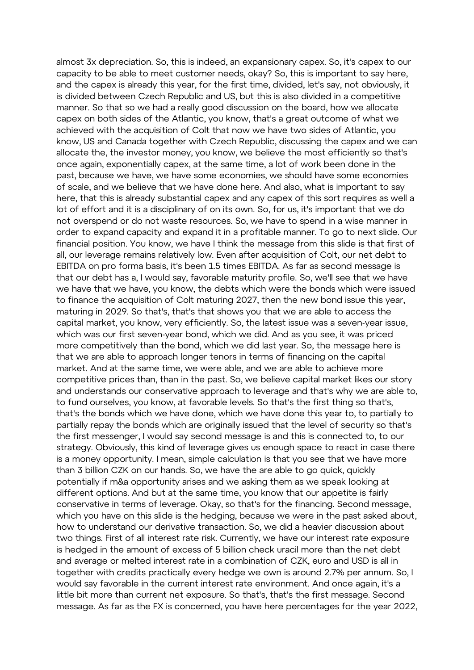almost 3x depreciation. So, this is indeed, an expansionary capex. So, it's capex to our capacity to be able to meet customer needs, okay? So, this is important to say here, and the capex is already this year, for the first time, divided, let's say, not obviously, it is divided between Czech Republic and US, but this is also divided in a competitive manner. So that so we had a really good discussion on the board, how we allocate capex on both sides of the Atlantic, you know, that's a great outcome of what we achieved with the acquisition of Colt that now we have two sides of Atlantic, you know, US and Canada together with Czech Republic, discussing the capex and we can allocate the, the investor money, you know, we believe the most efficiently so that's once again, exponentially capex, at the same time, a lot of work been done in the past, because we have, we have some economies, we should have some economies of scale, and we believe that we have done here. And also, what is important to say here, that this is already substantial capex and any capex of this sort requires as well a lot of effort and it is a disciplinary of on its own. So, for us, it's important that we do not overspend or do not waste resources. So, we have to spend in a wise manner in order to expand capacity and expand it in a profitable manner. To go to next slide. Our financial position. You know, we have I think the message from this slide is that first of all, our leverage remains relatively low. Even after acquisition of Colt, our net debt to EBITDA on pro forma basis, it's been 1.5 times EBITDA. As far as second message is that our debt has a, I would say, favorable maturity profile. So, we'll see that we have we have that we have, you know, the debts which were the bonds which were issued to finance the acquisition of Colt maturing 2027, then the new bond issue this year, maturing in 2029. So that's, that's that shows you that we are able to access the capital market, you know, very efficiently. So, the latest issue was a seven-year issue, which was our first seven-year bond, which we did. And as you see, it was priced more competitively than the bond, which we did last year. So, the message here is that we are able to approach longer tenors in terms of financing on the capital market. And at the same time, we were able, and we are able to achieve more competitive prices than, than in the past. So, we believe capital market likes our story and understands our conservative approach to leverage and that's why we are able to, to fund ourselves, you know, at favorable levels. So that's the first thing so that's, that's the bonds which we have done, which we have done this year to, to partially to partially repay the bonds which are originally issued that the level of security so that's the first messenger, I would say second message is and this is connected to, to our strategy. Obviously, this kind of leverage gives us enough space to react in case there is a money opportunity. I mean, simple calculation is that you see that we have more than 3 billion CZK on our hands. So, we have the are able to go quick, quickly potentially if m&a opportunity arises and we asking them as we speak looking at different options. And but at the same time, you know that our appetite is fairly conservative in terms of leverage. Okay, so that's for the financing. Second message, which you have on this slide is the hedging, because we were in the past asked about, how to understand our derivative transaction. So, we did a heavier discussion about two things. First of all interest rate risk. Currently, we have our interest rate exposure is hedged in the amount of excess of 5 billion check uracil more than the net debt and average or melted interest rate in a combination of CZK, euro and USD is all in together with credits practically every hedge we own is around 2.7% per annum. So, I would say favorable in the current interest rate environment. And once again, it's a little bit more than current net exposure. So that's, that's the first message. Second message. As far as the FX is concerned, you have here percentages for the year 2022,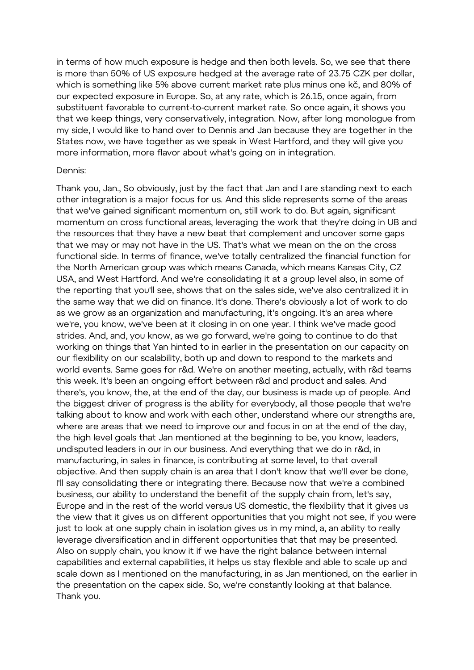in terms of how much exposure is hedge and then both levels. So, we see that there is more than 50% of US exposure hedged at the average rate of 23.75 CZK per dollar, which is something like 5% above current market rate plus minus one kč, and 80% of our expected exposure in Europe. So, at any rate, which is 26.15, once again, from substituent favorable to current-to-current market rate. So once again, it shows you that we keep things, very conservatively, integration. Now, after long monologue from my side, I would like to hand over to Dennis and Jan because they are together in the States now, we have together as we speak in West Hartford, and they will give you more information, more flavor about what's going on in integration.

#### Dennis:

Thank you, Jan., So obviously, just by the fact that Jan and I are standing next to each other integration is a major focus for us. And this slide represents some of the areas that we've gained significant momentum on, still work to do. But again, significant momentum on cross functional areas, leveraging the work that they're doing in UB and the resources that they have a new beat that complement and uncover some gaps that we may or may not have in the US. That's what we mean on the on the cross functional side. In terms of finance, we've totally centralized the financial function for the North American group was which means Canada, which means Kansas City, CZ USA, and West Hartford. And we're consolidating it at a group level also, in some of the reporting that you'll see, shows that on the sales side, we've also centralized it in the same way that we did on finance. It's done. There's obviously a lot of work to do as we grow as an organization and manufacturing, it's ongoing. It's an area where we're, you know, we've been at it closing in on one year. I think we've made good strides. And, and, you know, as we go forward, we're going to continue to do that working on things that Yan hinted to in earlier in the presentation on our capacity on our flexibility on our scalability, both up and down to respond to the markets and world events. Same goes for r&d. We're on another meeting, actually, with r&d teams this week. It's been an ongoing effort between r&d and product and sales. And there's, you know, the, at the end of the day, our business is made up of people. And the biggest driver of progress is the ability for everybody, all those people that we're talking about to know and work with each other, understand where our strengths are, where are areas that we need to improve our and focus in on at the end of the day, the high level goals that Jan mentioned at the beginning to be, you know, leaders, undisputed leaders in our in our business. And everything that we do in r&d, in manufacturing, in sales in finance, is contributing at some level, to that overall objective. And then supply chain is an area that I don't know that we'll ever be done, I'll say consolidating there or integrating there. Because now that we're a combined business, our ability to understand the benefit of the supply chain from, let's say, Europe and in the rest of the world versus US domestic, the flexibility that it gives us the view that it gives us on different opportunities that you might not see, if you were just to look at one supply chain in isolation gives us in my mind, a, an ability to really leverage diversification and in different opportunities that that may be presented. Also on supply chain, you know it if we have the right balance between internal capabilities and external capabilities, it helps us stay flexible and able to scale up and scale down as I mentioned on the manufacturing, in as Jan mentioned, on the earlier in the presentation on the capex side. So, we're constantly looking at that balance. Thank you.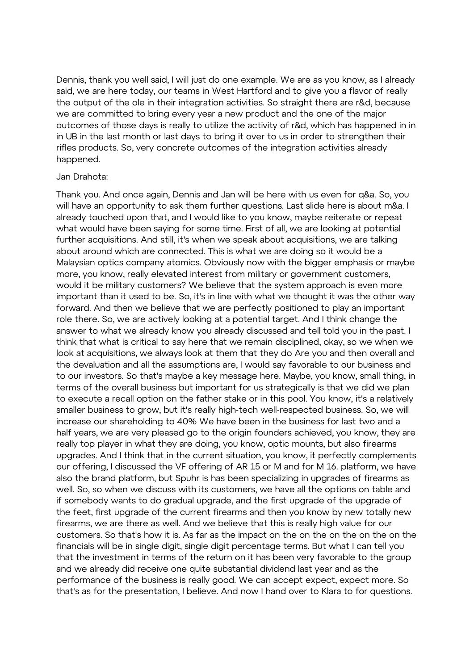Dennis, thank you well said, I will just do one example. We are as you know, as I already said, we are here today, our teams in West Hartford and to give you a flavor of really the output of the ole in their integration activities. So straight there are r&d, because we are committed to bring every year a new product and the one of the major outcomes of those days is really to utilize the activity of r&d, which has happened in in in UB in the last month or last days to bring it over to us in order to strengthen their rifles products. So, very concrete outcomes of the integration activities already happened.

#### Jan Drahota:

Thank you. And once again, Dennis and Jan will be here with us even for q&a. So, you will have an opportunity to ask them further questions. Last slide here is about m&a. I already touched upon that, and I would like to you know, maybe reiterate or repeat what would have been saying for some time. First of all, we are looking at potential further acquisitions. And still, it's when we speak about acquisitions, we are talking about around which are connected. This is what we are doing so it would be a Malaysian optics company atomics. Obviously now with the bigger emphasis or maybe more, you know, really elevated interest from military or government customers, would it be military customers? We believe that the system approach is even more important than it used to be. So, it's in line with what we thought it was the other way forward. And then we believe that we are perfectly positioned to play an important role there. So, we are actively looking at a potential target. And I think change the answer to what we already know you already discussed and tell told you in the past. I think that what is critical to say here that we remain disciplined, okay, so we when we look at acquisitions, we always look at them that they do Are you and then overall and the devaluation and all the assumptions are, I would say favorable to our business and to our investors. So that's maybe a key message here. Maybe, you know, small thing, in terms of the overall business but important for us strategically is that we did we plan to execute a recall option on the father stake or in this pool. You know, it's a relatively smaller business to grow, but it's really high-tech well-respected business. So, we will increase our shareholding to 40% We have been in the business for last two and a half years, we are very pleased go to the origin founders achieved, you know, they are really top player in what they are doing, you know, optic mounts, but also firearms upgrades. And I think that in the current situation, you know, it perfectly complements our offering, I discussed the VF offering of AR 15 or M and for M 16. platform, we have also the brand platform, but Spuhr is has been specializing in upgrades of firearms as well. So, so when we discuss with its customers, we have all the options on table and if somebody wants to do gradual upgrade, and the first upgrade of the upgrade of the feet, first upgrade of the current firearms and then you know by new totally new firearms, we are there as well. And we believe that this is really high value for our customers. So that's how it is. As far as the impact on the on the on the on the on the financials will be in single digit, single digit percentage terms. But what I can tell you that the investment in terms of the return on it has been very favorable to the group and we already did receive one quite substantial dividend last year and as the performance of the business is really good. We can accept expect, expect more. So that's as for the presentation, I believe. And now I hand over to Klara to for questions.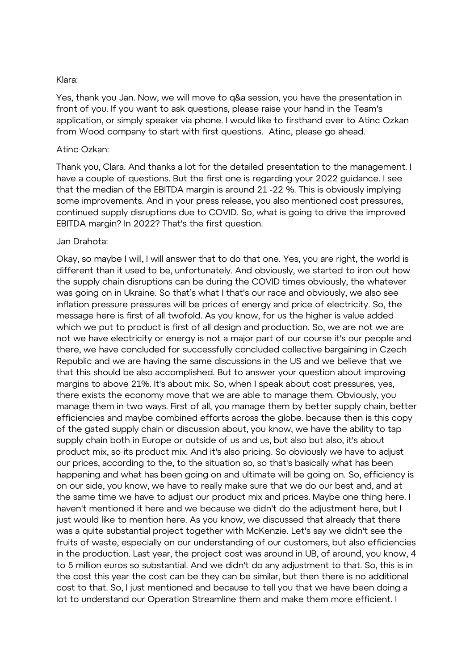#### Klara:

Yes, thank you Jan. Now, we will move to q&a session, you have the presentation in front of you. If you want to ask questions, please raise your hand in the Team's application, or simply speaker via phone. I would like to firsthand over to Atinc Ozkan from Wood company to start with first questions. Atinc, please go ahead.

#### Atinc Ozkan:

Thank you, Clara. And thanks a lot for the detailed presentation to the management. I have a couple of questions. But the first one is regarding your 2022 guidance. I see that the median of the EBITDA margin is around 21 -22 %. This is obviously implying some improvements. And in your press release, you also mentioned cost pressures, continued supply disruptions due to COVID. So, what is going to drive the improved EBITDA margin? In 2022? That's the first question.

#### Jan Drahota:

Okay, so maybe I will, I will answer that to do that one. Yes, you are right, the world is different than it used to be, unfortunately. And obviously, we started to iron out how the supply chain disruptions can be during the COVID times obviously, the whatever was going on in Ukraine. So that's what I that's our race and obviously, we also see inflation pressure pressures will be prices of energy and price of electricity. So, the message here is first of all twofold. As you know, for us the higher is value added which we put to product is first of all design and production. So, we are not we are not we have electricity or energy is not a major part of our course it's our people and there, we have concluded for successfully concluded collective bargaining in Czech Republic and we are having the same discussions in the US and we believe that we that this should be also accomplished. But to answer your question about improving margins to above 21%. It's about mix. So, when I speak about cost pressures, yes, there exists the economy move that we are able to manage them. Obviously, you manage them in two ways. First of all, you manage them by better supply chain, better efficiencies and maybe combined efforts across the globe. because then is this copy of the gated supply chain or discussion about, you know, we have the ability to tap supply chain both in Europe or outside of us and us, but also but also, it's about product mix, so its product mix. And it's also pricing. So obviously we have to adjust our prices, according to the, to the situation so, so that's basically what has been happening and what has been going on and ultimate will be going on. So, efficiency is on our side, you know, we have to really make sure that we do our best and, and at the same time we have to adjust our product mix and prices. Maybe one thing here. I haven't mentioned it here and we because we didn't do the adjustment here, but I just would like to mention here. As you know, we discussed that already that there was a quite substantial project together with McKenzie. Let's say we didn't see the fruits of waste, especially on our understanding of our customers, but also efficiencies in the production. Last year, the project cost was around in UB, of around, you know, 4 to 5 million euros so substantial. And we didn't do any adjustment to that. So, this is in the cost this year the cost can be they can be similar, but then there is no additional cost to that. So, I just mentioned and because to tell you that we have been doing a lot to understand our Operation Streamline them and make them more efficient. I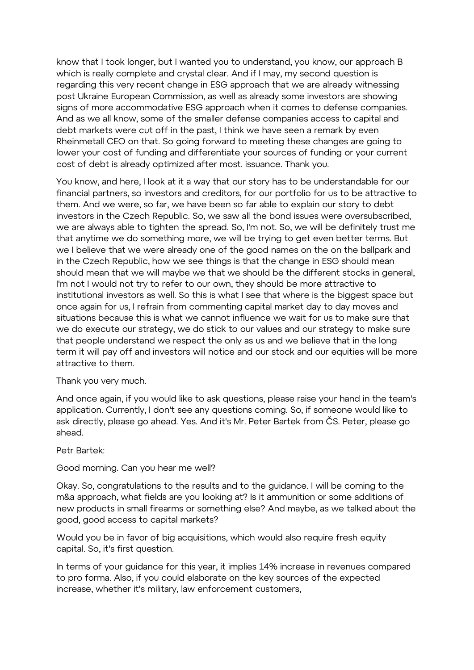know that I took longer, but I wanted you to understand, you know, our approach B which is really complete and crystal clear. And if I may, my second question is regarding this very recent change in ESG approach that we are already witnessing post Ukraine European Commission, as well as already some investors are showing signs of more accommodative ESG approach when it comes to defense companies. And as we all know, some of the smaller defense companies access to capital and debt markets were cut off in the past, I think we have seen a remark by even Rheinmetall CEO on that. So going forward to meeting these changes are going to lower your cost of funding and differentiate your sources of funding or your current cost of debt is already optimized after most. issuance. Thank you.

You know, and here, I look at it a way that our story has to be understandable for our financial partners, so investors and creditors, for our portfolio for us to be attractive to them. And we were, so far, we have been so far able to explain our story to debt investors in the Czech Republic. So, we saw all the bond issues were oversubscribed, we are always able to tighten the spread. So, I'm not. So, we will be definitely trust me that anytime we do something more, we will be trying to get even better terms. But we I believe that we were already one of the good names on the on the ballpark and in the Czech Republic, how we see things is that the change in ESG should mean should mean that we will maybe we that we should be the different stocks in general, I'm not I would not try to refer to our own, they should be more attractive to institutional investors as well. So this is what I see that where is the biggest space but once again for us, I refrain from commenting capital market day to day moves and situations because this is what we cannot influence we wait for us to make sure that we do execute our strategy, we do stick to our values and our strategy to make sure that people understand we respect the only as us and we believe that in the long term it will pay off and investors will notice and our stock and our equities will be more attractive to them.

# Thank you very much.

And once again, if you would like to ask questions, please raise your hand in the team's application. Currently, I don't see any questions coming. So, if someone would like to ask directly, please go ahead. Yes. And it's Mr. Peter Bartek from ČS. Peter, please go ahead.

# Petr Bartek:

Good morning. Can you hear me well?

Okay. So, congratulations to the results and to the guidance. I will be coming to the m&a approach, what fields are you looking at? Is it ammunition or some additions of new products in small firearms or something else? And maybe, as we talked about the good, good access to capital markets?

Would you be in favor of big acquisitions, which would also require fresh equity capital. So, it's first question.

In terms of your guidance for this year, it implies 14% increase in revenues compared to pro forma. Also, if you could elaborate on the key sources of the expected increase, whether it's military, law enforcement customers,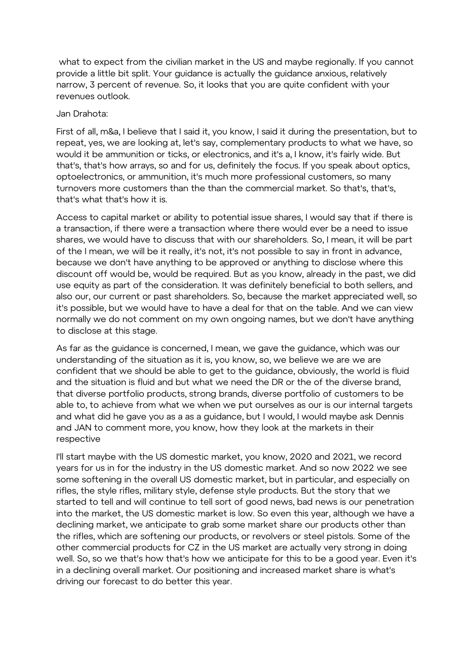what to expect from the civilian market in the US and maybe regionally. If you cannot provide a little bit split. Your guidance is actually the guidance anxious, relatively narrow, 3 percent of revenue. So, it looks that you are quite confident with your revenues outlook.

#### Jan Drahota:

First of all, m&a, I believe that I said it, you know, I said it during the presentation, but to repeat, yes, we are looking at, let's say, complementary products to what we have, so would it be ammunition or ticks, or electronics, and it's a, I know, it's fairly wide. But that's, that's how arrays, so and for us, definitely the focus. If you speak about optics, optoelectronics, or ammunition, it's much more professional customers, so many turnovers more customers than the than the commercial market. So that's, that's, that's what that's how it is.

Access to capital market or ability to potential issue shares, I would say that if there is a transaction, if there were a transaction where there would ever be a need to issue shares, we would have to discuss that with our shareholders. So, I mean, it will be part of the I mean, we will be it really, it's not, it's not possible to say in front in advance, because we don't have anything to be approved or anything to disclose where this discount off would be, would be required. But as you know, already in the past, we did use equity as part of the consideration. It was definitely beneficial to both sellers, and also our, our current or past shareholders. So, because the market appreciated well, so it's possible, but we would have to have a deal for that on the table. And we can view normally we do not comment on my own ongoing names, but we don't have anything to disclose at this stage.

As far as the guidance is concerned, I mean, we gave the guidance, which was our understanding of the situation as it is, you know, so, we believe we are we are confident that we should be able to get to the guidance, obviously, the world is fluid and the situation is fluid and but what we need the DR or the of the diverse brand, that diverse portfolio products, strong brands, diverse portfolio of customers to be able to, to achieve from what we when we put ourselves as our is our internal targets and what did he gave you as a as a guidance, but I would, I would maybe ask Dennis and JAN to comment more, you know, how they look at the markets in their respective

I'll start maybe with the US domestic market, you know, 2020 and 2021, we record years for us in for the industry in the US domestic market. And so now 2022 we see some softening in the overall US domestic market, but in particular, and especially on rifles, the style rifles, military style, defense style products. But the story that we started to tell and will continue to tell sort of good news, bad news is our penetration into the market, the US domestic market is low. So even this year, although we have a declining market, we anticipate to grab some market share our products other than the rifles, which are softening our products, or revolvers or steel pistols. Some of the other commercial products for CZ in the US market are actually very strong in doing well. So, so we that's how that's how we anticipate for this to be a good year. Even it's in a declining overall market. Our positioning and increased market share is what's driving our forecast to do better this year.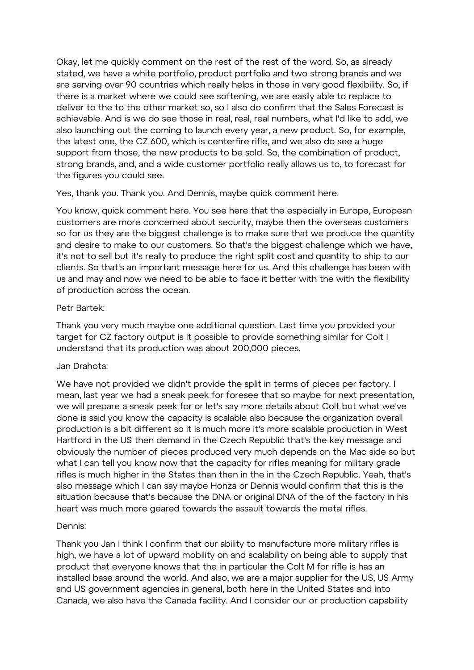Okay, let me quickly comment on the rest of the rest of the word. So, as already stated, we have a white portfolio, product portfolio and two strong brands and we are serving over 90 countries which really helps in those in very good flexibility. So, if there is a market where we could see softening, we are easily able to replace to deliver to the to the other market so, so I also do confirm that the Sales Forecast is achievable. And is we do see those in real, real, real numbers, what I'd like to add, we also launching out the coming to launch every year, a new product. So, for example, the latest one, the CZ 600, which is centerfire rifle, and we also do see a huge support from those, the new products to be sold. So, the combination of product, strong brands, and, and a wide customer portfolio really allows us to, to forecast for the figures you could see.

Yes, thank you. Thank you. And Dennis, maybe quick comment here.

You know, quick comment here. You see here that the especially in Europe, European customers are more concerned about security, maybe then the overseas customers so for us they are the biggest challenge is to make sure that we produce the quantity and desire to make to our customers. So that's the biggest challenge which we have, it's not to sell but it's really to produce the right split cost and quantity to ship to our clients. So that's an important message here for us. And this challenge has been with us and may and now we need to be able to face it better with the with the flexibility of production across the ocean.

# Petr Bartek:

Thank you very much maybe one additional question. Last time you provided your target for CZ factory output is it possible to provide something similar for Colt I understand that its production was about 200,000 pieces.

# Jan Drahota:

We have not provided we didn't provide the split in terms of pieces per factory. I mean, last year we had a sneak peek for foresee that so maybe for next presentation, we will prepare a sneak peek for or let's say more details about Colt but what we've done is said you know the capacity is scalable also because the organization overall production is a bit different so it is much more it's more scalable production in West Hartford in the US then demand in the Czech Republic that's the key message and obviously the number of pieces produced very much depends on the Mac side so but what I can tell you know now that the capacity for rifles meaning for military grade rifles is much higher in the States than then in the in the Czech Republic. Yeah, that's also message which I can say maybe Honza or Dennis would confirm that this is the situation because that's because the DNA or original DNA of the of the factory in his heart was much more geared towards the assault towards the metal rifles.

# Dennis:

Thank you Jan I think I confirm that our ability to manufacture more military rifles is high, we have a lot of upward mobility on and scalability on being able to supply that product that everyone knows that the in particular the Colt M for rifle is has an installed base around the world. And also, we are a major supplier for the US, US Army and US government agencies in general, both here in the United States and into Canada, we also have the Canada facility. And I consider our or production capability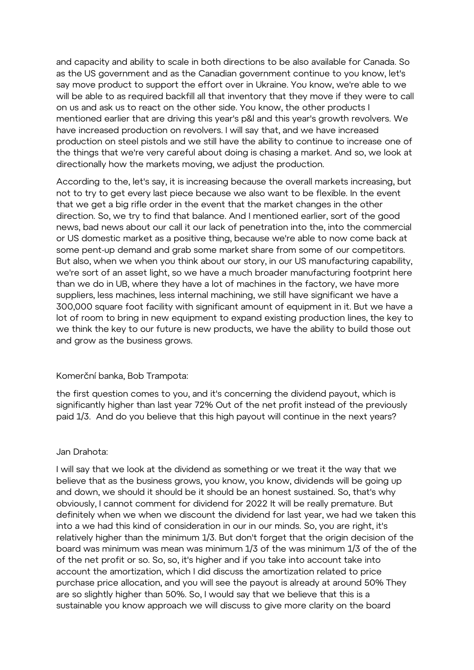and capacity and ability to scale in both directions to be also available for Canada. So as the US government and as the Canadian government continue to you know, let's say move product to support the effort over in Ukraine. You know, we're able to we will be able to as required backfill all that inventory that they move if they were to call on us and ask us to react on the other side. You know, the other products I mentioned earlier that are driving this year's p&l and this year's growth revolvers. We have increased production on revolvers. I will say that, and we have increased production on steel pistols and we still have the ability to continue to increase one of the things that we're very careful about doing is chasing a market. And so, we look at directionally how the markets moving, we adjust the production.

According to the, let's say, it is increasing because the overall markets increasing, but not to try to get every last piece because we also want to be flexible. In the event that we get a big rifle order in the event that the market changes in the other direction. So, we try to find that balance. And I mentioned earlier, sort of the good news, bad news about our call it our lack of penetration into the, into the commercial or US domestic market as a positive thing, because we're able to now come back at some pent-up demand and grab some market share from some of our competitors. But also, when we when you think about our story, in our US manufacturing capability, we're sort of an asset light, so we have a much broader manufacturing footprint here than we do in UB, where they have a lot of machines in the factory, we have more suppliers, less machines, less internal machining, we still have significant we have a 300,000 square foot facility with significant amount of equipment in it. But we have a lot of room to bring in new equipment to expand existing production lines, the key to we think the key to our future is new products, we have the ability to build those out and grow as the business grows.

# Komerční banka, Bob Trampota:

the first question comes to you, and it's concerning the dividend payout, which is significantly higher than last year 72% Out of the net profit instead of the previously paid 1/3. And do you believe that this high payout will continue in the next years?

# Jan Drahota:

I will say that we look at the dividend as something or we treat it the way that we believe that as the business grows, you know, you know, dividends will be going up and down, we should it should be it should be an honest sustained. So, that's why obviously, I cannot comment for dividend for 2022 It will be really premature. But definitely when we when we discount the dividend for last year, we had we taken this into a we had this kind of consideration in our in our minds. So, you are right, it's relatively higher than the minimum 1/3. But don't forget that the origin decision of the board was minimum was mean was minimum 1/3 of the was minimum 1/3 of the of the of the net profit or so. So, so, it's higher and if you take into account take into account the amortization, which I did discuss the amortization related to price purchase price allocation, and you will see the payout is already at around 50% They are so slightly higher than 50%. So, I would say that we believe that this is a sustainable you know approach we will discuss to give more clarity on the board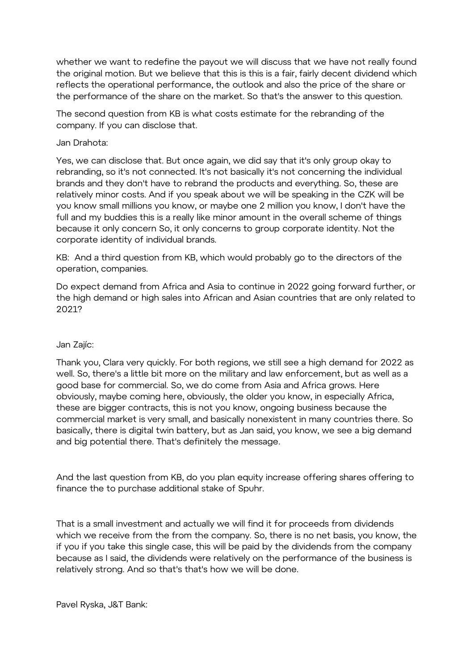whether we want to redefine the payout we will discuss that we have not really found the original motion. But we believe that this is this is a fair, fairly decent dividend which reflects the operational performance, the outlook and also the price of the share or the performance of the share on the market. So that's the answer to this question.

The second question from KB is what costs estimate for the rebranding of the company. If you can disclose that.

#### Jan Drahota:

Yes, we can disclose that. But once again, we did say that it's only group okay to rebranding, so it's not connected. It's not basically it's not concerning the individual brands and they don't have to rebrand the products and everything. So, these are relatively minor costs. And if you speak about we will be speaking in the CZK will be you know small millions you know, or maybe one 2 million you know, I don't have the full and my buddies this is a really like minor amount in the overall scheme of things because it only concern So, it only concerns to group corporate identity. Not the corporate identity of individual brands.

KB: And a third question from KB, which would probably go to the directors of the operation, companies.

Do expect demand from Africa and Asia to continue in 2022 going forward further, or the high demand or high sales into African and Asian countries that are only related to 2021?

# Jan Zajíc:

Thank you, Clara very quickly. For both regions, we still see a high demand for 2022 as well. So, there's a little bit more on the military and law enforcement, but as well as a good base for commercial. So, we do come from Asia and Africa grows. Here obviously, maybe coming here, obviously, the older you know, in especially Africa, these are bigger contracts, this is not you know, ongoing business because the commercial market is very small, and basically nonexistent in many countries there. So basically, there is digital twin battery, but as Jan said, you know, we see a big demand and big potential there. That's definitely the message.

And the last question from KB, do you plan equity increase offering shares offering to finance the to purchase additional stake of Spuhr.

That is a small investment and actually we will find it for proceeds from dividends which we receive from the from the company. So, there is no net basis, you know, the if you if you take this single case, this will be paid by the dividends from the company because as I said, the dividends were relatively on the performance of the business is relatively strong. And so that's that's how we will be done.

Pavel Ryska, J&T Bank: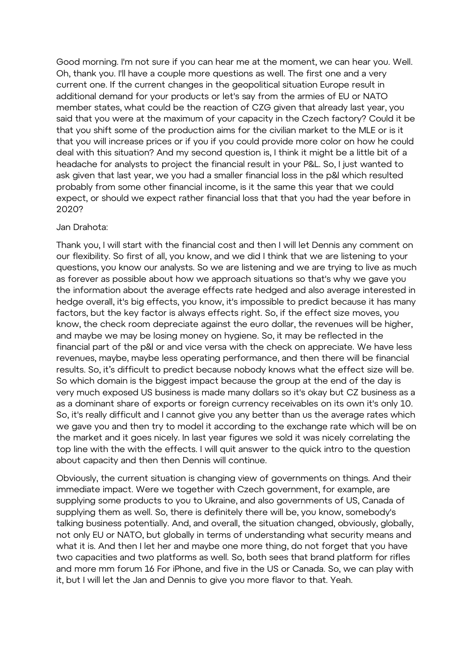Good morning. I'm not sure if you can hear me at the moment, we can hear you. Well. Oh, thank you. I'll have a couple more questions as well. The first one and a very current one. If the current changes in the geopolitical situation Europe result in additional demand for your products or let's say from the armies of EU or NATO member states, what could be the reaction of CZG given that already last year, you said that you were at the maximum of your capacity in the Czech factory? Could it be that you shift some of the production aims for the civilian market to the MLE or is it that you will increase prices or if you if you could provide more color on how he could deal with this situation? And my second question is, I think it might be a little bit of a headache for analysts to project the financial result in your P&L. So, I just wanted to ask given that last year, we you had a smaller financial loss in the p&l which resulted probably from some other financial income, is it the same this year that we could expect, or should we expect rather financial loss that that you had the year before in 2020?

#### Jan Drahota:

Thank you, I will start with the financial cost and then I will let Dennis any comment on our flexibility. So first of all, you know, and we did I think that we are listening to your questions, you know our analysts. So we are listening and we are trying to live as much as forever as possible about how we approach situations so that's why we gave you the information about the average effects rate hedged and also average interested in hedge overall, it's big effects, you know, it's impossible to predict because it has many factors, but the key factor is always effects right. So, if the effect size moves, you know, the check room depreciate against the euro dollar, the revenues will be higher, and maybe we may be losing money on hygiene. So, it may be reflected in the financial part of the p&l or and vice versa with the check on appreciate. We have less revenues, maybe, maybe less operating performance, and then there will be financial results. So, it's difficult to predict because nobody knows what the effect size will be. So which domain is the biggest impact because the group at the end of the day is very much exposed US business is made many dollars so it's okay but CZ business as a as a dominant share of exports or foreign currency receivables on its own it's only 10. So, it's really difficult and I cannot give you any better than us the average rates which we gave you and then try to model it according to the exchange rate which will be on the market and it goes nicely. In last year figures we sold it was nicely correlating the top line with the with the effects. I will quit answer to the quick intro to the question about capacity and then then Dennis will continue.

Obviously, the current situation is changing view of governments on things. And their immediate impact. Were we together with Czech government, for example, are supplying some products to you to Ukraine, and also governments of US, Canada of supplying them as well. So, there is definitely there will be, you know, somebody's talking business potentially. And, and overall, the situation changed, obviously, globally, not only EU or NATO, but globally in terms of understanding what security means and what it is. And then I let her and maybe one more thing, do not forget that you have two capacities and two platforms as well. So, both sees that brand platform for rifles and more mm forum 16 For iPhone, and five in the US or Canada. So, we can play with it, but I will let the Jan and Dennis to give you more flavor to that. Yeah.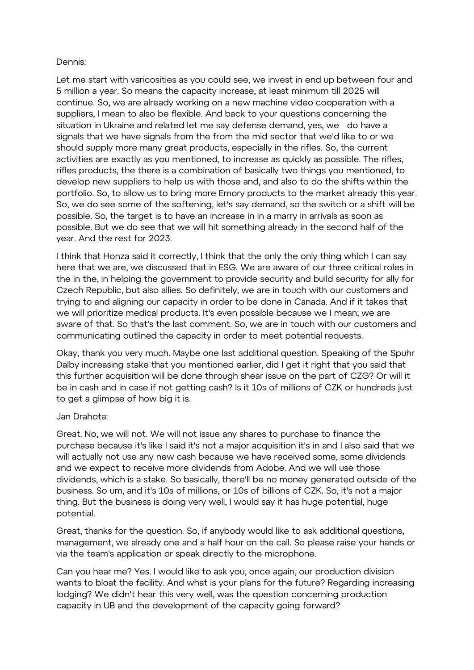# Dennis:

Let me start with varicosities as you could see, we invest in end up between four and 5 million a year. So means the capacity increase, at least minimum till 2025 will continue. So, we are already working on a new machine video cooperation with a suppliers, I mean to also be flexible. And back to your questions concerning the situation in Ukraine and related let me say defense demand, yes, we do have a signals that we have signals from the from the mid sector that we'd like to or we should supply more many great products, especially in the rifles. So, the current activities are exactly as you mentioned, to increase as quickly as possible. The rifles, rifles products, the there is a combination of basically two things you mentioned, to develop new suppliers to help us with those and, and also to do the shifts within the portfolio. So, to allow us to bring more Emory products to the market already this year. So, we do see some of the softening, let's say demand, so the switch or a shift will be possible. So, the target is to have an increase in in a marry in arrivals as soon as possible. But we do see that we will hit something already in the second half of the year. And the rest for 2023.

I think that Honza said it correctly, I think that the only the only thing which I can say here that we are, we discussed that in ESG. We are aware of our three critical roles in the in the, in helping the government to provide security and build security for ally for Czech Republic, but also allies. So definitely, we are in touch with our customers and trying to and aligning our capacity in order to be done in Canada. And if it takes that we will prioritize medical products. It's even possible because we I mean; we are aware of that. So that's the last comment. So, we are in touch with our customers and communicating outlined the capacity in order to meet potential requests.

Okay, thank you very much. Maybe one last additional question. Speaking of the Spuhr Dalby increasing stake that you mentioned earlier, did I get it right that you said that this further acquisition will be done through shear issue on the part of CZG? Or will it be in cash and in case if not getting cash? Is it 10s of millions of CZK or hundreds just to get a glimpse of how big it is.

# Jan Drahota:

Great. No, we will not. We will not issue any shares to purchase to finance the purchase because it's like I said it's not a major acquisition it's in and I also said that we will actually not use any new cash because we have received some, some dividends and we expect to receive more dividends from Adobe. And we will use those dividends, which is a stake. So basically, there'll be no money generated outside of the business. So um, and it's 10s of millions, or 10s of billions of CZK. So, it's not a major thing. But the business is doing very well, I would say it has huge potential, huge potential.

Great, thanks for the question. So, if anybody would like to ask additional questions, management, we already one and a half hour on the call. So please raise your hands or via the team's application or speak directly to the microphone.

Can you hear me? Yes. I would like to ask you, once again, our production division wants to bloat the facility. And what is your plans for the future? Regarding increasing lodging? We didn't hear this very well, was the question concerning production capacity in UB and the development of the capacity going forward?